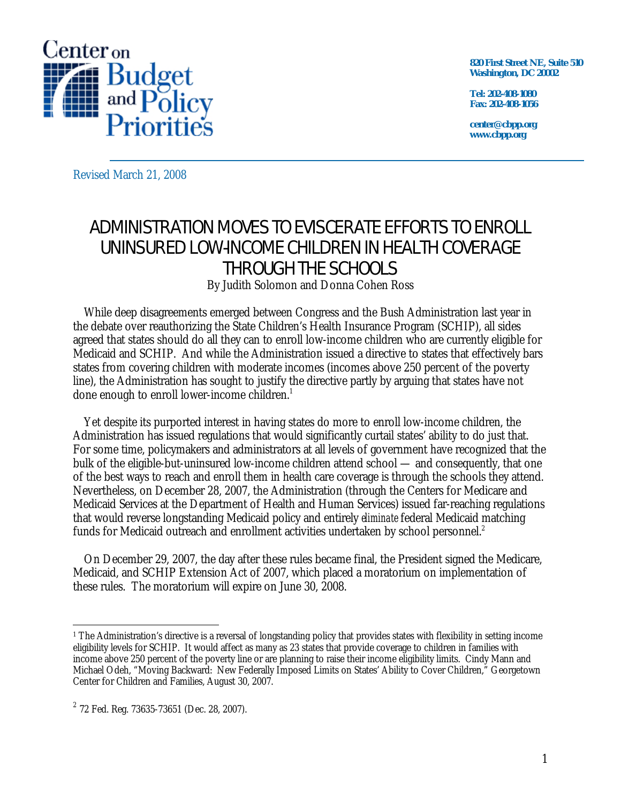

**820 First Street NE, Suite 510 Washington, DC 20002** 

**Tel: 202-408-1080 Fax: 202-408-1056** 

**center@cbpp.org www.cbpp.org** 

Revised March 21, 2008

## ADMINISTRATION MOVES TO EVISCERATE EFFORTS TO ENROLL UNINSURED LOW-INCOME CHILDREN IN HEALTH COVERAGE THROUGH THE SCHOOLS

By Judith Solomon and Donna Cohen Ross

 While deep disagreements emerged between Congress and the Bush Administration last year in the debate over reauthorizing the State Children's Health Insurance Program (SCHIP), all sides agreed that states should do all they can to enroll low-income children who are currently eligible for Medicaid and SCHIP. And while the Administration issued a directive to states that effectively bars states from covering children with moderate incomes (incomes above 250 percent of the poverty line), the Administration has sought to justify the directive partly by arguing that states have not done enough to enroll lower-income children.<sup>1</sup>

 Yet despite its purported interest in having states do more to enroll low-income children, the Administration has issued regulations that would significantly curtail states' ability to do just that. For some time, policymakers and administrators at all levels of government have recognized that the bulk of the eligible-but-uninsured low-income children attend school — and consequently, that one of the best ways to reach and enroll them in health care coverage is through the schools they attend. Nevertheless, on December 28, 2007, the Administration (through the Centers for Medicare and Medicaid Services at the Department of Health and Human Services) issued far-reaching regulations that would reverse longstanding Medicaid policy and entirely *eliminate* federal Medicaid matching funds for Medicaid outreach and enrollment activities undertaken by school personnel.<sup>2</sup>

 On December 29, 2007, the day after these rules became final, the President signed the Medicare, Medicaid, and SCHIP Extension Act of 2007, which placed a moratorium on implementation of these rules. The moratorium will expire on June 30, 2008.

 $\overline{a}$ <sup>1</sup> The Administration's directive is a reversal of longstanding policy that provides states with flexibility in setting income eligibility levels for SCHIP. It would affect as many as 23 states that provide coverage to children in families with income above 250 percent of the poverty line or are planning to raise their income eligibility limits. Cindy Mann and Michael Odeh, "Moving Backward: New Federally Imposed Limits on States' Ability to Cover Children," Georgetown Center for Children and Families, August 30, 2007.

 $2$  72 Fed. Reg. 73635-73651 (Dec. 28, 2007).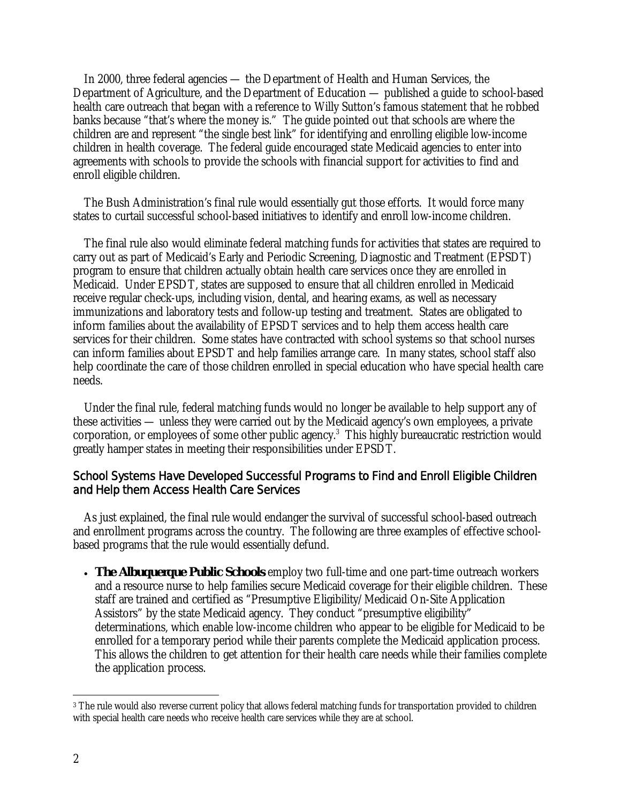In 2000, three federal agencies — the Department of Health and Human Services, the Department of Agriculture, and the Department of Education — published a guide to school-based health care outreach that began with a reference to Willy Sutton's famous statement that he robbed banks because "that's where the money is." The guide pointed out that schools are where the children are and represent "the single best link" for identifying and enrolling eligible low-income children in health coverage. The federal guide encouraged state Medicaid agencies to enter into agreements with schools to provide the schools with financial support for activities to find and enroll eligible children.

 The Bush Administration's final rule would essentially gut those efforts. It would force many states to curtail successful school-based initiatives to identify and enroll low-income children.

 The final rule also would eliminate federal matching funds for activities that states are required to carry out as part of Medicaid's Early and Periodic Screening, Diagnostic and Treatment (EPSDT) program to ensure that children actually obtain health care services once they are enrolled in Medicaid. Under EPSDT, states are supposed to ensure that all children enrolled in Medicaid receive regular check-ups, including vision, dental, and hearing exams, as well as necessary immunizations and laboratory tests and follow-up testing and treatment. States are obligated to inform families about the availability of EPSDT services and to help them access health care services for their children. Some states have contracted with school systems so that school nurses can inform families about EPSDT and help families arrange care. In many states, school staff also help coordinate the care of those children enrolled in special education who have special health care needs.

 Under the final rule, federal matching funds would no longer be available to help support any of these activities — unless they were carried out by the Medicaid agency's own employees, a private corporation, or employees of some other public agency. $3$  This highly bureaucratic restriction would greatly hamper states in meeting their responsibilities under EPSDT.

## School Systems Have Developed Successful Programs to Find and Enroll Eligible Children and Help them Access Health Care Services

As just explained, the final rule would endanger the survival of successful school-based outreach and enrollment programs across the country. The following are three examples of effective schoolbased programs that the rule would essentially defund.

• **The Albuquerque Public Schools** employ two full-time and one part-time outreach workers and a resource nurse to help families secure Medicaid coverage for their eligible children. These staff are trained and certified as "Presumptive Eligibility/Medicaid On-Site Application Assistors" by the state Medicaid agency. They conduct "presumptive eligibility" determinations, which enable low-income children who appear to be eligible for Medicaid to be enrolled for a temporary period while their parents complete the Medicaid application process. This allows the children to get attention for their health care needs while their families complete the application process.

 $\overline{a}$ <sup>3</sup> The rule would also reverse current policy that allows federal matching funds for transportation provided to children with special health care needs who receive health care services while they are at school.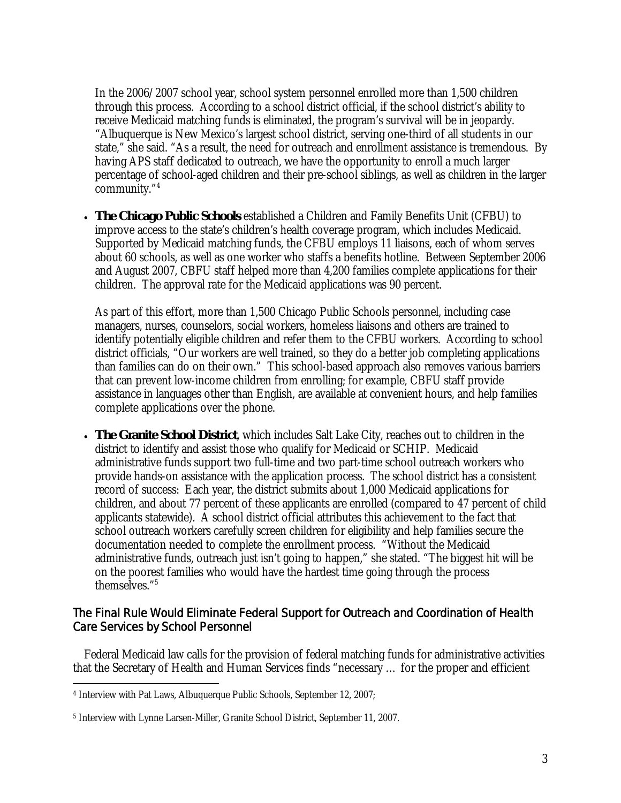In the 2006/2007 school year, school system personnel enrolled more than 1,500 children through this process. According to a school district official, if the school district's ability to receive Medicaid matching funds is eliminated, the program's survival will be in jeopardy. "Albuquerque is New Mexico's largest school district, serving one-third of all students in our state," she said. "As a result, the need for outreach and enrollment assistance is tremendous. By having APS staff dedicated to outreach, we have the opportunity to enroll a much larger percentage of school-aged children and their pre-school siblings, as well as children in the larger community."4

• **The Chicago Public Schools** established a Children and Family Benefits Unit (CFBU) to improve access to the state's children's health coverage program, which includes Medicaid. Supported by Medicaid matching funds, the CFBU employs 11 liaisons, each of whom serves about 60 schools, as well as one worker who staffs a benefits hotline. Between September 2006 and August 2007, CBFU staff helped more than 4,200 families complete applications for their children. The approval rate for the Medicaid applications was 90 percent.

As part of this effort, more than 1,500 Chicago Public Schools personnel, including case managers, nurses, counselors, social workers, homeless liaisons and others are trained to identify potentially eligible children and refer them to the CFBU workers. According to school district officials, "Our workers are well trained, so they do a better job completing applications than families can do on their own." This school-based approach also removes various barriers that can prevent low-income children from enrolling; for example, CBFU staff provide assistance in languages other than English, are available at convenient hours, and help families complete applications over the phone.

• **The Granite School District**, which includes Salt Lake City, reaches out to children in the district to identify and assist those who qualify for Medicaid or SCHIP. Medicaid administrative funds support two full-time and two part-time school outreach workers who provide hands-on assistance with the application process. The school district has a consistent record of success: Each year, the district submits about 1,000 Medicaid applications for children, and about 77 percent of these applicants are enrolled (compared to 47 percent of child applicants statewide). A school district official attributes this achievement to the fact that school outreach workers carefully screen children for eligibility and help families secure the documentation needed to complete the enrollment process. "Without the Medicaid administrative funds, outreach just isn't going to happen," she stated. "The biggest hit will be on the poorest families who would have the hardest time going through the process themselves."5

## The Final Rule Would Eliminate Federal Support for Outreach and Coordination of Health Care Services by School Personnel

 Federal Medicaid law calls for the provision of federal matching funds for administrative activities that the Secretary of Health and Human Services finds "necessary … for the proper and efficient

 $\overline{a}$ 4 Interview with Pat Laws, Albuquerque Public Schools, September 12, 2007;

<sup>5</sup> Interview with Lynne Larsen-Miller, Granite School District, September 11, 2007.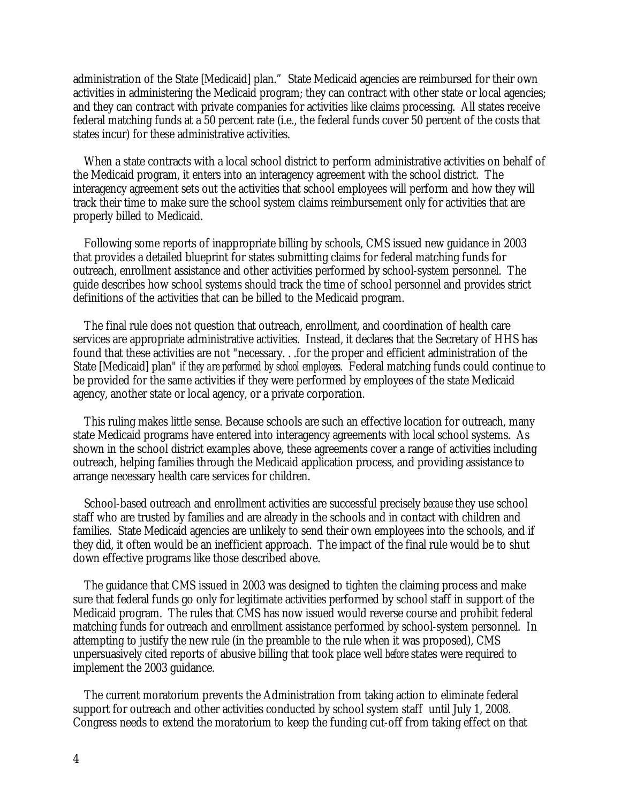administration of the State [Medicaid] plan." State Medicaid agencies are reimbursed for their own activities in administering the Medicaid program; they can contract with other state or local agencies; and they can contract with private companies for activities like claims processing. All states receive federal matching funds at a 50 percent rate (i.e., the federal funds cover 50 percent of the costs that states incur) for these administrative activities.

When a state contracts with a local school district to perform administrative activities on behalf of the Medicaid program, it enters into an interagency agreement with the school district. The interagency agreement sets out the activities that school employees will perform and how they will track their time to make sure the school system claims reimbursement only for activities that are properly billed to Medicaid.

Following some reports of inappropriate billing by schools, CMS issued new guidance in 2003 that provides a detailed blueprint for states submitting claims for federal matching funds for outreach, enrollment assistance and other activities performed by school-system personnel. The guide describes how school systems should track the time of school personnel and provides strict definitions of the activities that can be billed to the Medicaid program.

The final rule does not question that outreach, enrollment, and coordination of health care services are appropriate administrative activities. Instead, it declares that the Secretary of HHS has found that these activities are not "necessary. . .for the proper and efficient administration of the State [Medicaid] plan" *if they are performed by school employees.* Federal matching funds could continue to be provided for the same activities if they were performed by employees of the state Medicaid agency, another state or local agency, or a private corporation.

 This ruling makes little sense. Because schools are such an effective location for outreach, many state Medicaid programs have entered into interagency agreements with local school systems. As shown in the school district examples above, these agreements cover a range of activities including outreach, helping families through the Medicaid application process, and providing assistance to arrange necessary health care services for children.

School-based outreach and enrollment activities are successful precisely *because* they use school staff who are trusted by families and are already in the schools and in contact with children and families. State Medicaid agencies are unlikely to send their own employees into the schools, and if they did, it often would be an inefficient approach. The impact of the final rule would be to shut down effective programs like those described above.

The guidance that CMS issued in 2003 was designed to tighten the claiming process and make sure that federal funds go only for legitimate activities performed by school staff in support of the Medicaid program. The rules that CMS has now issued would reverse course and prohibit federal matching funds for outreach and enrollment assistance performed by school-system personnel. In attempting to justify the new rule (in the preamble to the rule when it was proposed), CMS unpersuasively cited reports of abusive billing that took place well *before* states were required to implement the 2003 guidance.

The current moratorium prevents the Administration from taking action to eliminate federal support for outreach and other activities conducted by school system staff until July 1, 2008. Congress needs to extend the moratorium to keep the funding cut-off from taking effect on that